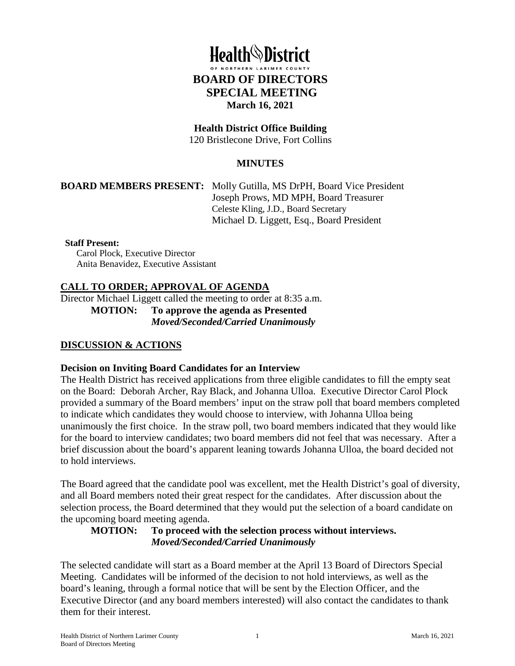# **Health***N* District **BOARD OF DIRECTORS SPECIAL MEETING March 16, 2021**

## **Health District Office Building**

120 Bristlecone Drive, Fort Collins

## **MINUTES**

#### **BOARD MEMBERS PRESENT:** Molly Gutilla, MS DrPH, Board Vice President

Joseph Prows, MD MPH, Board Treasurer Celeste Kling, J.D., Board Secretary Michael D. Liggett, Esq., Board President

#### **Staff Present:**

Carol Plock, Executive Director Anita Benavidez, Executive Assistant

## **CALL TO ORDER; APPROVAL OF AGENDA**

Director Michael Liggett called the meeting to order at 8:35 a.m.

**MOTION: To approve the agenda as Presented**  *Moved/Seconded/Carried Unanimously* 

#### **DISCUSSION & ACTIONS**

#### **Decision on Inviting Board Candidates for an Interview**

The Health District has received applications from three eligible candidates to fill the empty seat on the Board: Deborah Archer, Ray Black, and Johanna Ulloa. Executive Director Carol Plock provided a summary of the Board members' input on the straw poll that board members completed to indicate which candidates they would choose to interview, with Johanna Ulloa being unanimously the first choice. In the straw poll, two board members indicated that they would like for the board to interview candidates; two board members did not feel that was necessary. After a brief discussion about the board's apparent leaning towards Johanna Ulloa, the board decided not to hold interviews.

The Board agreed that the candidate pool was excellent, met the Health District's goal of diversity, and all Board members noted their great respect for the candidates. After discussion about the selection process, the Board determined that they would put the selection of a board candidate on the upcoming board meeting agenda.

## **MOTION: To proceed with the selection process without interviews.**  *Moved/Seconded/Carried Unanimously*

The selected candidate will start as a Board member at the April 13 Board of Directors Special Meeting. Candidates will be informed of the decision to not hold interviews, as well as the board's leaning, through a formal notice that will be sent by the Election Officer, and the Executive Director (and any board members interested) will also contact the candidates to thank them for their interest.